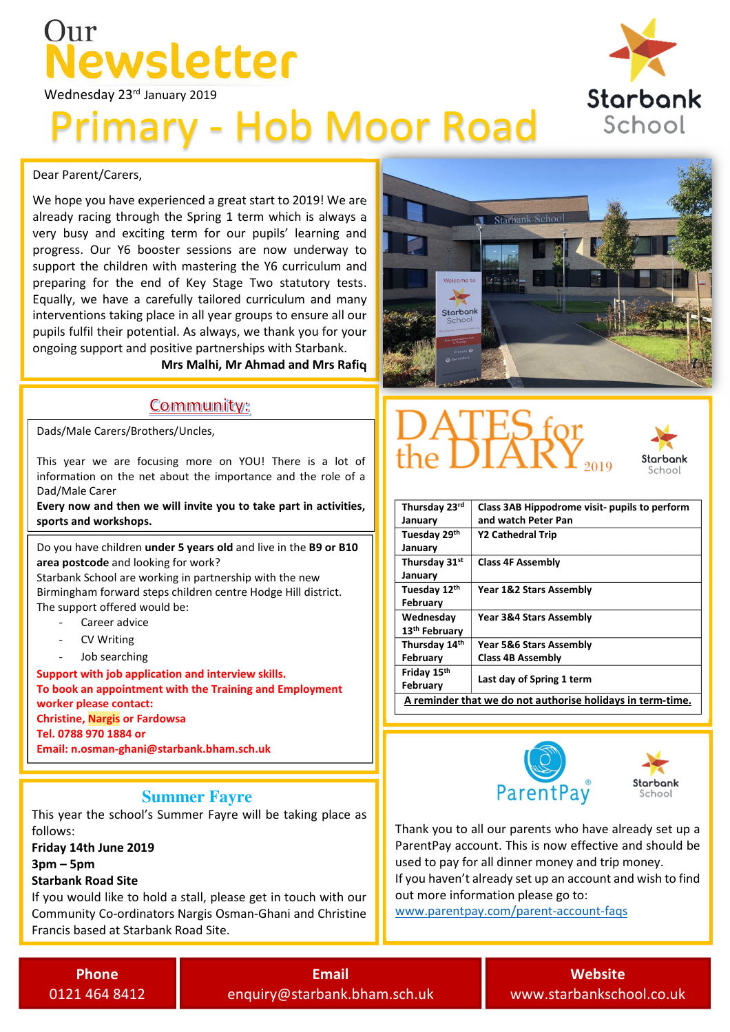### $\ln r$ ewsletter

Wednesday 23rd January 2019

## **Primary - Hob Moor Road**

#### Dear Parent/Carers,

already racing through the Spring 1 term which is always a We hope you have experienced a great start to 2019! We are very busy and exciting term for our pupils' learning and progress. Our Y6 booster sessions are now underway to support the children with mastering the Y6 curriculum and preparing for the end of Key Stage Two statutory tests. Equally, we have a carefully tailored curriculum and many interventions taking place in all year groups to ensure all our pupils fulfil their potential. As always, we thank you for your ongoing support and positive partnerships with Starbank.

Mrs Malhi, Mr Ahmad and Mrs Rafiq

#### **Community:**

Dads/Male Carers/Brothers/Uncles,

This year we are focusing more on YOU! There is a lot of information on the net about the importance and the role of a Dad/Male Carer

 Every now and then we will invite you to take part in activities, sports and workshops.

Do you have children under 5 years old and live in the B9 or B10 area postcode and looking for work?

Starbank School are working in partnership with the new Birmingham forward steps children centre Hodge Hill district. The support offered would be:

- Career advice
- CV Writing
- Job searching

Support with job application and interview skills. To book an appointment with the Training and Employment worker please contact: Christine, Nargis or Fardowsa Tel. 0788 970 1884 or Email: n.osman-ghani@starbank.bham.sch.uk

#### **Summer Fayre**

This year the school's Summer Fayre will be taking place as follows:

Friday 14th June 2019 3pm – 5pm

#### Starbank Road Site

l

If you would like to hold a stall, please get in touch with our Community Co-ordinators Nargis Osman-Ghani and Christine Francis based at Starbank Road Site.







| Thursday 23rd                                              | Class 3AB Hippodrome visit- pupils to perform |  |  |
|------------------------------------------------------------|-----------------------------------------------|--|--|
| January                                                    | and watch Peter Pan                           |  |  |
| Tuesday 29th                                               | Y2 Cathedral Trip                             |  |  |
| January                                                    |                                               |  |  |
| Thursday 31st                                              | <b>Class 4F Assembly</b>                      |  |  |
| January                                                    |                                               |  |  |
| Tuesday 12th                                               | Year 1&2 Stars Assembly                       |  |  |
| February                                                   |                                               |  |  |
| Wednesday                                                  | Year 3&4 Stars Assembly                       |  |  |
| 13 <sup>th</sup> February                                  |                                               |  |  |
| Thursday 14th                                              | <b>Year 5&amp;6 Stars Assembly</b>            |  |  |
| February                                                   | <b>Class 4B Assembly</b>                      |  |  |
| Friday 15th                                                |                                               |  |  |
| February                                                   | Last day of Spring 1 term                     |  |  |
| A reminder that we do not authorise holidays in term-time. |                                               |  |  |





Thank you to all our parents who have already set up a ParentPay account. This is now effective and should be used to pay for all dinner money and trip money. If you haven't already set up an account and wish to find

out more information please go to:

www.parentpay.com/parent-account-faqs

Phone 0121 464 8412

Email enquiry@starbank.bham.sch.uk

**Website** www.starbankschool.co.uk